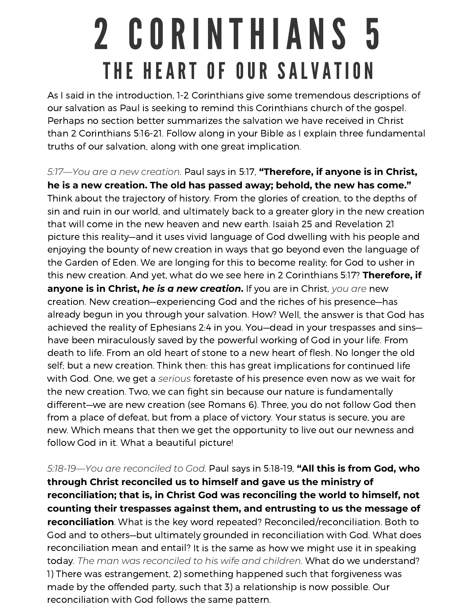## 2 CORINTHIANS 5 THE HEART OF OUR SALVATION

As I said in the introduction, 1-2 Corinthians give some tremendous descriptions of our salvation as Paul is seeking to remind this Corinthians church of the gospel. Perhaps no section better summarizes the salvation we have received in Christ than 2 Corinthians 5:16-21. Follow along in your Bible as I explain three fundamental truths of our salvation, along with one great implication.

*5:17—You are <sup>a</sup> new creation.* Paul says in 5:17, **"Therefore, if anyone is in Christ, he is <sup>a</sup> new creation. The old has passed away; behold, the new has come."** Think about the trajectory of history. From the glories of creation, to the depths of sin and ruin in our world, and ultimately back to <sup>a</sup> greater glory in the new creation that will come in the new heaven and new earth. Isaiah 25 and Revelation 21 picture this reality—and it uses vivid language of God dwelling with his people and enjoying the bounty of new creation in ways that go beyond even the language of the Garden of Eden. We are longing for this to become reality; for God to usher in this new creation. And yet, what do we see here in 2 Corinthians 5:17? **Therefore, if anyone is in Christ,** *he is <sup>a</sup> new creation***.** If you are in Christ, *you are* new creation. New creation—experiencing God and the riches of his presence—has already begun in you through your salvation. How? Well, the answer is that God has achieved the reality of Ephesians 2:4 in you. You—dead in your trespasses and sins have been miraculously saved by the powerful working of God in your life. From death to life. From an old heart of stone to <sup>a</sup> new heart of flesh. No longer the old self; but <sup>a</sup> new creation. Think then: this has great implications for continued life with God. One, we get <sup>a</sup> *serious* foretaste of his presence even now as we wait for the new creation. Two, we can fight sin because our nature is fundamentally different—we are new creation (see Romans 6). Three, you do not follow God then from <sup>a</sup> place of defeat, but from <sup>a</sup> place of victory. Your status is secure, you are new. Which means that then we get the opportunity to live out our newness and follow God in it. What <sup>a</sup> beautiful picture!

*5:18-19—You are reconciled to God.* Paul says in 5:18-19, **"All this is from God, who through Christ reconciled us to himself and gave us the ministry of reconciliation; that is, in Christ God was reconciling the world to himself, not counting their trespasses against them, and entrusting to us the message of reconciliation**. What is the key word repeated? Reconciled/reconciliation. Both to God and to others—but ultimately grounded in reconciliation with God. What does reconciliation mean and entail? It is the same as how we might use it in speaking today. *The man was reconciled to his wife and children*. What do we understand? 1) There was estrangement, 2) something happened such that forgiveness was made by the offended party, such that 3) <sup>a</sup> relationship is now possible. Our reconciliation with God follows the same pattern.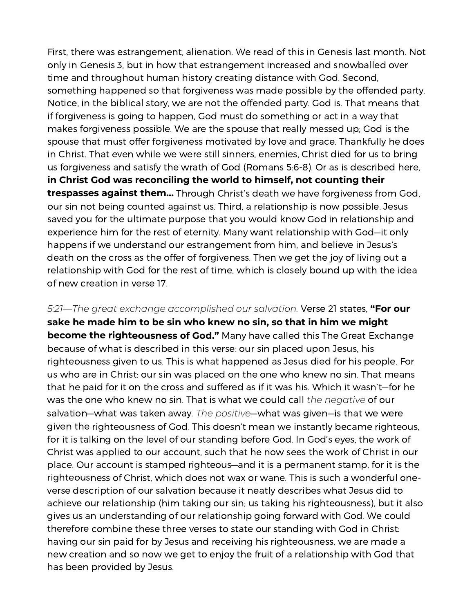First, there was estrangement, alienation. We read of this in Genesis last month. Not only in Genesis 3, but in how that estrangement increased and snowballed over time and throughout human history creating distance with God. Second, something happened so that forgiveness was made possible by the offended party. Notice, in the biblical story, we are not the offended party. God is. That means that if forgiveness is going to happen, God must do something or act in <sup>a</sup> way that makes forgiveness possible. We are the spouse that really messed up; God is the spouse that must offer forgiveness motivated by love and grace. Thankfully he does in Christ. That even while we were still sinners, enemies, Christ died for us to bring us forgiveness and satisfy the wrath of God (Romans 5:6-8). Or as is described here, **in Christ God was reconciling the world to himself, not counting their trespasses against them…** Through Christ's death we have forgiveness from God, our sin not being counted against us. Third, <sup>a</sup> relationship is now possible. Jesus saved you for the ultimate purpose that you would know God in relationship and experience him for the rest of eternity. Many want relationship with God—it only happens if we understand our estrangement from him, and believe in Jesus's death on the cross as the offer of forgiveness. Then we get the joy of living out <sup>a</sup> relationship with God for the rest of time, which is closely bound up with the idea of new creation in verse 17.

*5:21—The great exchange accomplished our salvation.* Verse 21 states, **"For our sake he made him to be sin who knew no sin, so that in him we might become the righteousness of God."** Many have called this The Great Exchange because of what is described in this verse: our sin placed upon Jesus, his righteousness given to us. This is what happened as Jesus died for his people. For us who are in Christ: our sin was placed on the one who knew no sin. That means that he paid for it on the cross and suffered as if it was his. Which it wasn't—for he was the one who knew no sin. That is what we could call *the negative* of our salvation—what was taken away. *The positive*—what was given—is that we were given the righteousness of God. This doesn't mean we instantly became righteous, for it is talking on the level of our standing before God. In God's eyes, the work of Christ was applied to our account, such that he now sees the work of Christ in our place. Our account is stamped righteous—and it is <sup>a</sup> permanent stamp, for it is the righteousness of Christ, which does not wax or wane. This is such <sup>a</sup> wonderful oneverse description of our salvation because it neatly describes what Jesus did to achieve our relationship (him taking our sin; us taking his righteousness), but it also gives us an understanding of our relationship going forward with God. We could therefore combine these three verses to state our standing with God in Christ: having our sin paid for by Jesus and receiving his righteousness, we are made <sup>a</sup> new creation and so now we get to enjoy the fruit of <sup>a</sup> relationship with God that has been provided by Jesus.